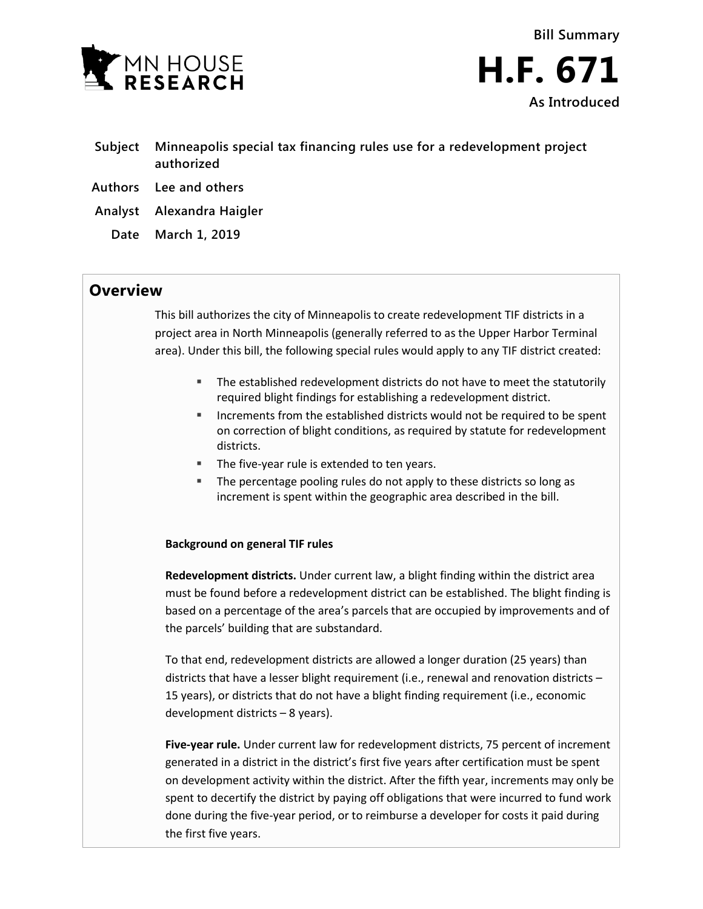



- **Subject Minneapolis special tax financing rules use for a redevelopment project authorized**
- **Authors Lee and others**
- **Analyst Alexandra Haigler**
	- **Date March 1, 2019**

## **Overview**

This bill authorizes the city of Minneapolis to create redevelopment TIF districts in a project area in North Minneapolis (generally referred to as the Upper Harbor Terminal area). Under this bill, the following special rules would apply to any TIF district created:

- The established redevelopment districts do not have to meet the statutorily required blight findings for establishing a redevelopment district.
- Increments from the established districts would not be required to be spent on correction of blight conditions, as required by statute for redevelopment districts.
- The five-year rule is extended to ten years.
- The percentage pooling rules do not apply to these districts so long as increment is spent within the geographic area described in the bill.

## **Background on general TIF rules**

**Redevelopment districts.** Under current law, a blight finding within the district area must be found before a redevelopment district can be established. The blight finding is based on a percentage of the area's parcels that are occupied by improvements and of the parcels' building that are substandard.

To that end, redevelopment districts are allowed a longer duration (25 years) than districts that have a lesser blight requirement (i.e., renewal and renovation districts – 15 years), or districts that do not have a blight finding requirement (i.e., economic development districts – 8 years).

**Five-year rule.** Under current law for redevelopment districts, 75 percent of increment generated in a district in the district's first five years after certification must be spent on development activity within the district. After the fifth year, increments may only be spent to decertify the district by paying off obligations that were incurred to fund work done during the five-year period, or to reimburse a developer for costs it paid during the first five years.